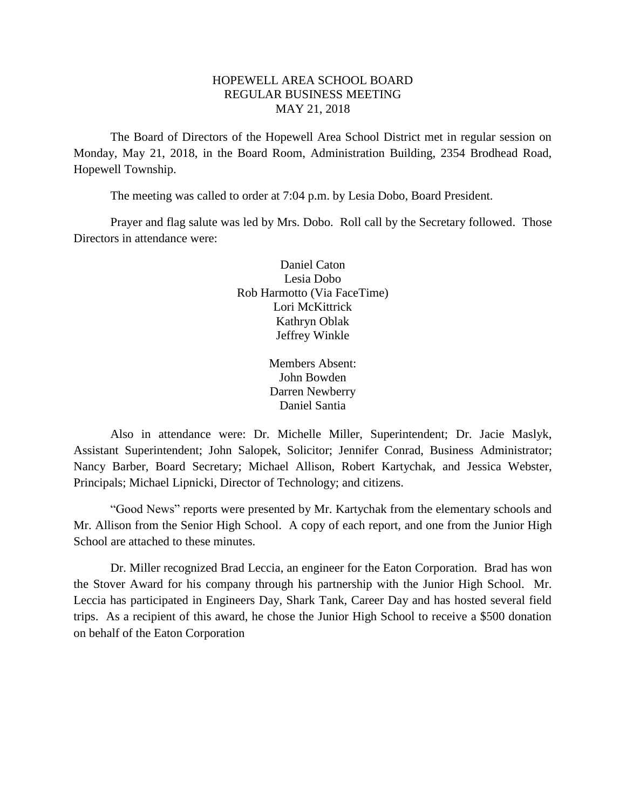# HOPEWELL AREA SCHOOL BOARD REGULAR BUSINESS MEETING MAY 21, 2018

The Board of Directors of the Hopewell Area School District met in regular session on Monday, May 21, 2018, in the Board Room, Administration Building, 2354 Brodhead Road, Hopewell Township.

The meeting was called to order at 7:04 p.m. by Lesia Dobo, Board President.

Prayer and flag salute was led by Mrs. Dobo. Roll call by the Secretary followed. Those Directors in attendance were:

> Daniel Caton Lesia Dobo Rob Harmotto (Via FaceTime) Lori McKittrick Kathryn Oblak Jeffrey Winkle

> > Members Absent: John Bowden Darren Newberry Daniel Santia

Also in attendance were: Dr. Michelle Miller, Superintendent; Dr. Jacie Maslyk, Assistant Superintendent; John Salopek, Solicitor; Jennifer Conrad, Business Administrator; Nancy Barber, Board Secretary; Michael Allison, Robert Kartychak, and Jessica Webster, Principals; Michael Lipnicki, Director of Technology; and citizens.

"Good News" reports were presented by Mr. Kartychak from the elementary schools and Mr. Allison from the Senior High School. A copy of each report, and one from the Junior High School are attached to these minutes.

Dr. Miller recognized Brad Leccia, an engineer for the Eaton Corporation. Brad has won the Stover Award for his company through his partnership with the Junior High School. Mr. Leccia has participated in Engineers Day, Shark Tank, Career Day and has hosted several field trips. As a recipient of this award, he chose the Junior High School to receive a \$500 donation on behalf of the Eaton Corporation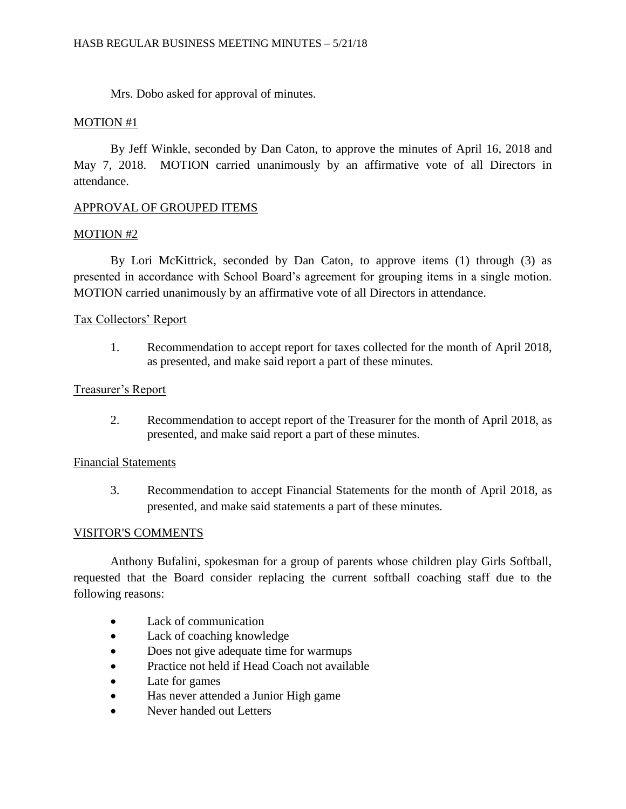Mrs. Dobo asked for approval of minutes.

## MOTION #1

By Jeff Winkle, seconded by Dan Caton, to approve the minutes of April 16, 2018 and May 7, 2018. MOTION carried unanimously by an affirmative vote of all Directors in attendance.

# APPROVAL OF GROUPED ITEMS

# MOTION #2

By Lori McKittrick, seconded by Dan Caton, to approve items (1) through (3) as presented in accordance with School Board's agreement for grouping items in a single motion. MOTION carried unanimously by an affirmative vote of all Directors in attendance.

# Tax Collectors' Report

1. Recommendation to accept report for taxes collected for the month of April 2018, as presented, and make said report a part of these minutes.

## Treasurer's Report

2. Recommendation to accept report of the Treasurer for the month of April 2018, as presented, and make said report a part of these minutes.

## Financial Statements

3. Recommendation to accept Financial Statements for the month of April 2018, as presented, and make said statements a part of these minutes.

# VISITOR'S COMMENTS

Anthony Bufalini, spokesman for a group of parents whose children play Girls Softball, requested that the Board consider replacing the current softball coaching staff due to the following reasons:

- Lack of communication
- Lack of coaching knowledge
- Does not give adequate time for warmups
- Practice not held if Head Coach not available
- Late for games
- Has never attended a Junior High game
- Never handed out Letters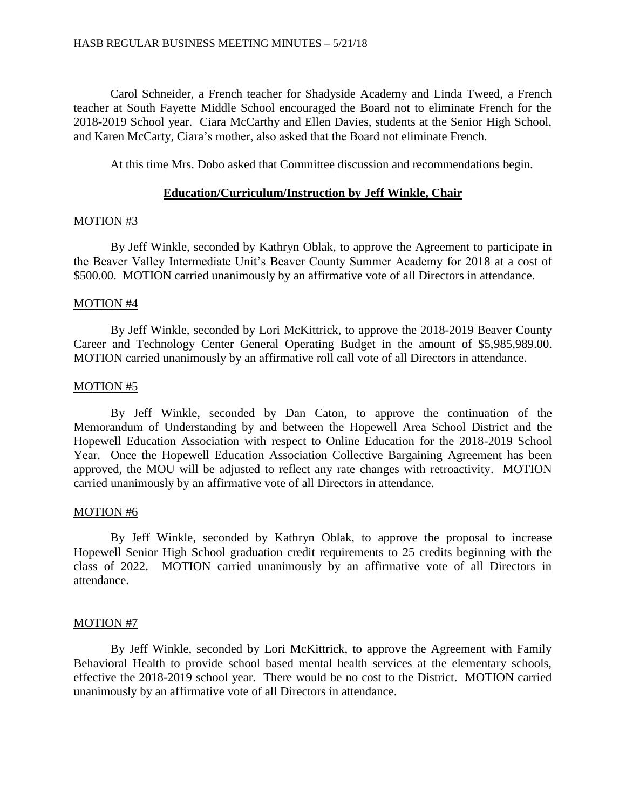Carol Schneider, a French teacher for Shadyside Academy and Linda Tweed, a French teacher at South Fayette Middle School encouraged the Board not to eliminate French for the 2018-2019 School year. Ciara McCarthy and Ellen Davies, students at the Senior High School, and Karen McCarty, Ciara's mother, also asked that the Board not eliminate French.

At this time Mrs. Dobo asked that Committee discussion and recommendations begin.

## **Education/Curriculum/Instruction by Jeff Winkle, Chair**

## MOTION #3

By Jeff Winkle, seconded by Kathryn Oblak, to approve the Agreement to participate in the Beaver Valley Intermediate Unit's Beaver County Summer Academy for 2018 at a cost of \$500.00. MOTION carried unanimously by an affirmative vote of all Directors in attendance.

## MOTION #4

By Jeff Winkle, seconded by Lori McKittrick, to approve the 2018-2019 Beaver County Career and Technology Center General Operating Budget in the amount of \$5,985,989.00. MOTION carried unanimously by an affirmative roll call vote of all Directors in attendance.

## MOTION #5

By Jeff Winkle, seconded by Dan Caton, to approve the continuation of the Memorandum of Understanding by and between the Hopewell Area School District and the Hopewell Education Association with respect to Online Education for the 2018-2019 School Year. Once the Hopewell Education Association Collective Bargaining Agreement has been approved, the MOU will be adjusted to reflect any rate changes with retroactivity. MOTION carried unanimously by an affirmative vote of all Directors in attendance.

## MOTION #6

By Jeff Winkle, seconded by Kathryn Oblak, to approve the proposal to increase Hopewell Senior High School graduation credit requirements to 25 credits beginning with the class of 2022. MOTION carried unanimously by an affirmative vote of all Directors in attendance.

# MOTION #7

By Jeff Winkle, seconded by Lori McKittrick, to approve the Agreement with Family Behavioral Health to provide school based mental health services at the elementary schools, effective the 2018-2019 school year. There would be no cost to the District. MOTION carried unanimously by an affirmative vote of all Directors in attendance.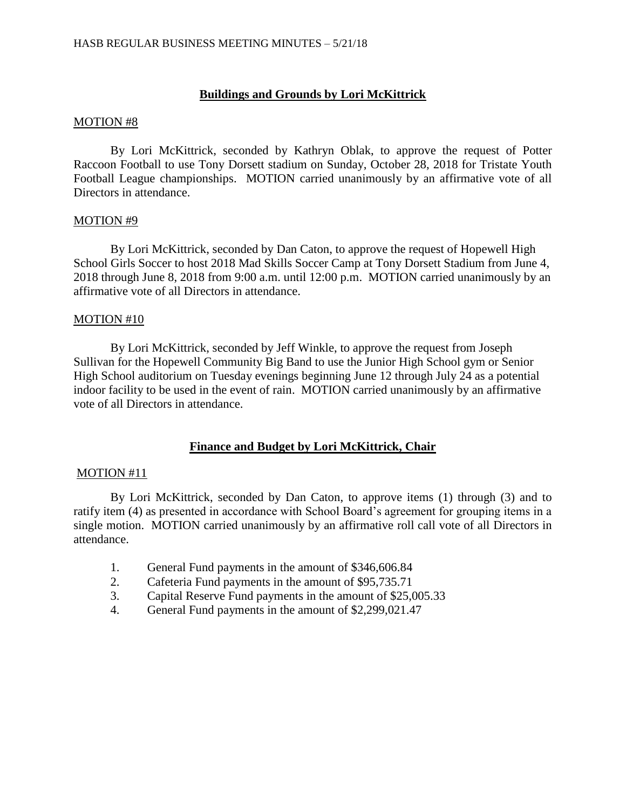# **Buildings and Grounds by Lori McKittrick**

#### MOTION #8

By Lori McKittrick, seconded by Kathryn Oblak, to approve the request of Potter Raccoon Football to use Tony Dorsett stadium on Sunday, October 28, 2018 for Tristate Youth Football League championships. MOTION carried unanimously by an affirmative vote of all Directors in attendance.

## MOTION #9

By Lori McKittrick, seconded by Dan Caton, to approve the request of Hopewell High School Girls Soccer to host 2018 Mad Skills Soccer Camp at Tony Dorsett Stadium from June 4, 2018 through June 8, 2018 from 9:00 a.m. until 12:00 p.m. MOTION carried unanimously by an affirmative vote of all Directors in attendance.

## MOTION #10

By Lori McKittrick, seconded by Jeff Winkle, to approve the request from Joseph Sullivan for the Hopewell Community Big Band to use the Junior High School gym or Senior High School auditorium on Tuesday evenings beginning June 12 through July 24 as a potential indoor facility to be used in the event of rain. MOTION carried unanimously by an affirmative vote of all Directors in attendance.

## **Finance and Budget by Lori McKittrick, Chair**

## MOTION #11

By Lori McKittrick, seconded by Dan Caton, to approve items (1) through (3) and to ratify item (4) as presented in accordance with School Board's agreement for grouping items in a single motion. MOTION carried unanimously by an affirmative roll call vote of all Directors in attendance.

- 1. General Fund payments in the amount of \$346,606.84
- 2. Cafeteria Fund payments in the amount of \$95,735.71
- 3. Capital Reserve Fund payments in the amount of \$25,005.33
- 4. General Fund payments in the amount of \$2,299,021.47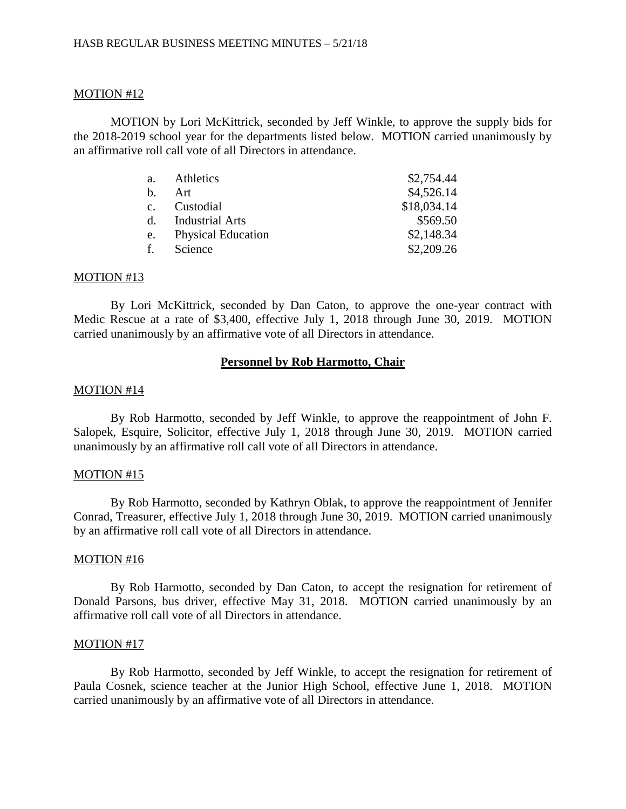## MOTION #12

MOTION by Lori McKittrick, seconded by Jeff Winkle, to approve the supply bids for the 2018-2019 school year for the departments listed below. MOTION carried unanimously by an affirmative roll call vote of all Directors in attendance.

| a.             | Athletics                 | \$2,754.44  |
|----------------|---------------------------|-------------|
| $h_{\cdot}$    | Art                       | \$4,526.14  |
| C <sub>1</sub> | Custodial                 | \$18,034.14 |
| d.             | <b>Industrial Arts</b>    | \$569.50    |
| e.             | <b>Physical Education</b> | \$2,148.34  |
| f.             | Science                   | \$2,209.26  |

#### MOTION #13

By Lori McKittrick, seconded by Dan Caton, to approve the one-year contract with Medic Rescue at a rate of \$3,400, effective July 1, 2018 through June 30, 2019. MOTION carried unanimously by an affirmative vote of all Directors in attendance.

#### **Personnel by Rob Harmotto, Chair**

#### MOTION #14

By Rob Harmotto, seconded by Jeff Winkle, to approve the reappointment of John F. Salopek, Esquire, Solicitor, effective July 1, 2018 through June 30, 2019. MOTION carried unanimously by an affirmative roll call vote of all Directors in attendance.

#### MOTION #15

By Rob Harmotto, seconded by Kathryn Oblak, to approve the reappointment of Jennifer Conrad, Treasurer, effective July 1, 2018 through June 30, 2019. MOTION carried unanimously by an affirmative roll call vote of all Directors in attendance.

#### MOTION #16

By Rob Harmotto, seconded by Dan Caton, to accept the resignation for retirement of Donald Parsons, bus driver, effective May 31, 2018. MOTION carried unanimously by an affirmative roll call vote of all Directors in attendance.

#### MOTION #17

By Rob Harmotto, seconded by Jeff Winkle, to accept the resignation for retirement of Paula Cosnek, science teacher at the Junior High School, effective June 1, 2018. MOTION carried unanimously by an affirmative vote of all Directors in attendance.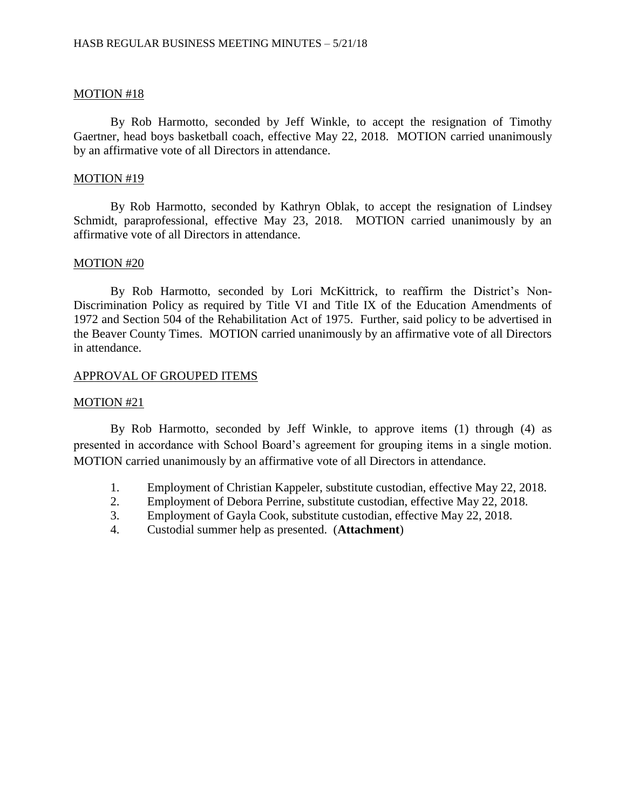## MOTION #18

By Rob Harmotto, seconded by Jeff Winkle, to accept the resignation of Timothy Gaertner, head boys basketball coach, effective May 22, 2018. MOTION carried unanimously by an affirmative vote of all Directors in attendance.

### MOTION #19

By Rob Harmotto, seconded by Kathryn Oblak, to accept the resignation of Lindsey Schmidt, paraprofessional, effective May 23, 2018. MOTION carried unanimously by an affirmative vote of all Directors in attendance.

#### MOTION #20

By Rob Harmotto, seconded by Lori McKittrick, to reaffirm the District's Non-Discrimination Policy as required by Title VI and Title IX of the Education Amendments of 1972 and Section 504 of the Rehabilitation Act of 1975. Further, said policy to be advertised in the Beaver County Times. MOTION carried unanimously by an affirmative vote of all Directors in attendance.

## APPROVAL OF GROUPED ITEMS

## MOTION #21

By Rob Harmotto, seconded by Jeff Winkle, to approve items (1) through (4) as presented in accordance with School Board's agreement for grouping items in a single motion. MOTION carried unanimously by an affirmative vote of all Directors in attendance.

- 1. Employment of Christian Kappeler, substitute custodian, effective May 22, 2018.
- 2. Employment of Debora Perrine, substitute custodian, effective May 22, 2018.
- 3. Employment of Gayla Cook, substitute custodian, effective May 22, 2018.
- 4. Custodial summer help as presented. (**Attachment**)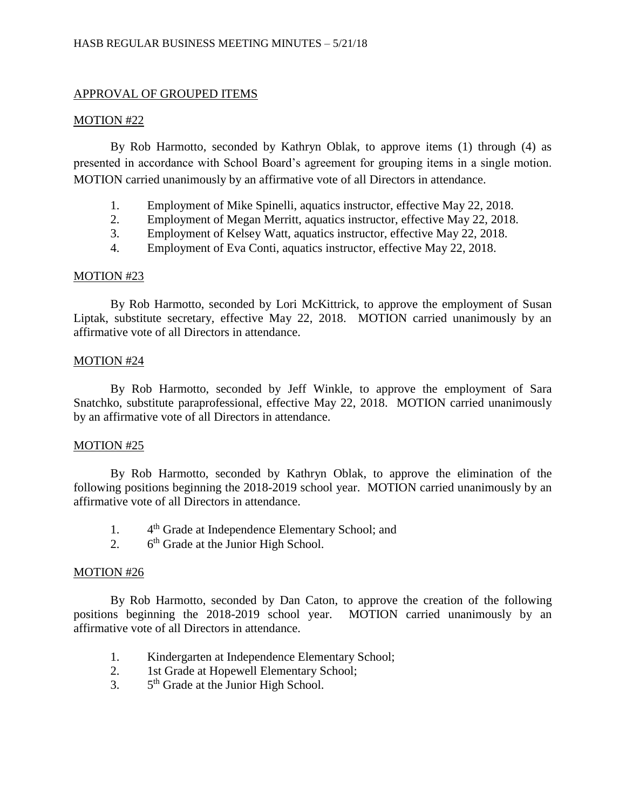# APPROVAL OF GROUPED ITEMS

## MOTION #22

By Rob Harmotto, seconded by Kathryn Oblak, to approve items (1) through (4) as presented in accordance with School Board's agreement for grouping items in a single motion. MOTION carried unanimously by an affirmative vote of all Directors in attendance.

- 1. Employment of Mike Spinelli, aquatics instructor, effective May 22, 2018.
- 2. Employment of Megan Merritt, aquatics instructor, effective May 22, 2018.
- 3. Employment of Kelsey Watt, aquatics instructor, effective May 22, 2018.
- 4. Employment of Eva Conti, aquatics instructor, effective May 22, 2018.

## MOTION #23

By Rob Harmotto, seconded by Lori McKittrick, to approve the employment of Susan Liptak, substitute secretary, effective May 22, 2018. MOTION carried unanimously by an affirmative vote of all Directors in attendance.

## MOTION #24

By Rob Harmotto, seconded by Jeff Winkle, to approve the employment of Sara Snatchko, substitute paraprofessional, effective May 22, 2018. MOTION carried unanimously by an affirmative vote of all Directors in attendance.

## MOTION #25

By Rob Harmotto, seconded by Kathryn Oblak, to approve the elimination of the following positions beginning the 2018-2019 school year. MOTION carried unanimously by an affirmative vote of all Directors in attendance.

- $1<sub>1</sub>$ 4<sup>th</sup> Grade at Independence Elementary School; and
- $2<sub>l</sub>$  $6<sup>th</sup>$  Grade at the Junior High School.

# MOTION #26

By Rob Harmotto, seconded by Dan Caton, to approve the creation of the following positions beginning the 2018-2019 school year. MOTION carried unanimously by an affirmative vote of all Directors in attendance.

- 1. Kindergarten at Independence Elementary School;
- 2. 1st Grade at Hopewell Elementary School;
- $3<sub>l</sub>$ 5<sup>th</sup> Grade at the Junior High School.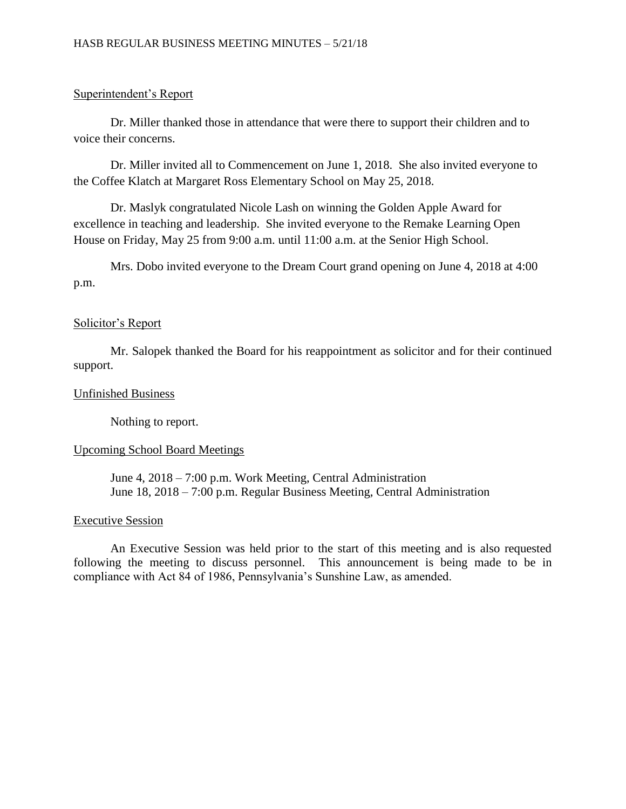# Superintendent's Report

Dr. Miller thanked those in attendance that were there to support their children and to voice their concerns.

Dr. Miller invited all to Commencement on June 1, 2018. She also invited everyone to the Coffee Klatch at Margaret Ross Elementary School on May 25, 2018.

Dr. Maslyk congratulated Nicole Lash on winning the Golden Apple Award for excellence in teaching and leadership. She invited everyone to the Remake Learning Open House on Friday, May 25 from 9:00 a.m. until 11:00 a.m. at the Senior High School.

Mrs. Dobo invited everyone to the Dream Court grand opening on June 4, 2018 at 4:00 p.m.

# Solicitor's Report

Mr. Salopek thanked the Board for his reappointment as solicitor and for their continued support.

## Unfinished Business

Nothing to report.

# Upcoming School Board Meetings

June 4, 2018 – 7:00 p.m. Work Meeting, Central Administration June 18, 2018 – 7:00 p.m. Regular Business Meeting, Central Administration

## Executive Session

An Executive Session was held prior to the start of this meeting and is also requested following the meeting to discuss personnel. This announcement is being made to be in compliance with Act 84 of 1986, Pennsylvania's Sunshine Law, as amended.